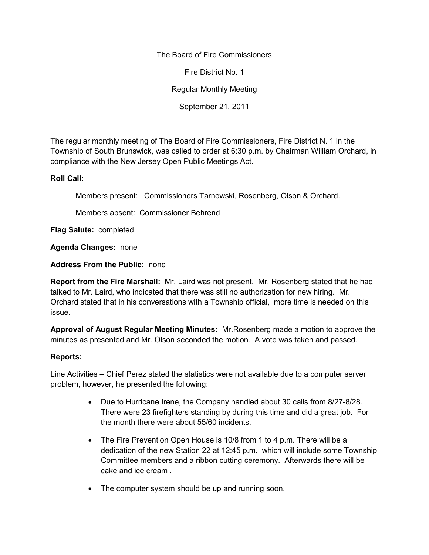The Board of Fire Commissioners

Fire District No. 1

Regular Monthly Meeting

September 21, 2011

The regular monthly meeting of The Board of Fire Commissioners, Fire District N. 1 in the Township of South Brunswick, was called to order at 6:30 p.m. by Chairman William Orchard, in compliance with the New Jersey Open Public Meetings Act.

## **Roll Call:**

Members present: Commissioners Tarnowski, Rosenberg, Olson & Orchard.

Members absent: Commissioner Behrend

**Flag Salute:** completed

**Agenda Changes:** none

**Address From the Public:** none

**Report from the Fire Marshall:** Mr. Laird was not present. Mr. Rosenberg stated that he had talked to Mr. Laird, who indicated that there was still no authorization for new hiring. Mr. Orchard stated that in his conversations with a Township official, more time is needed on this issue.

**Approval of August Regular Meeting Minutes:** Mr.Rosenberg made a motion to approve the minutes as presented and Mr. Olson seconded the motion. A vote was taken and passed.

#### **Reports:**

Line Activities – Chief Perez stated the statistics were not available due to a computer server problem, however, he presented the following:

- Due to Hurricane Irene, the Company handled about 30 calls from 8/27-8/28. There were 23 firefighters standing by during this time and did a great job. For the month there were about 55/60 incidents.
- The Fire Prevention Open House is 10/8 from 1 to 4 p.m. There will be a dedication of the new Station 22 at 12:45 p.m. which will include some Township Committee members and a ribbon cutting ceremony. Afterwards there will be cake and ice cream .
- The computer system should be up and running soon.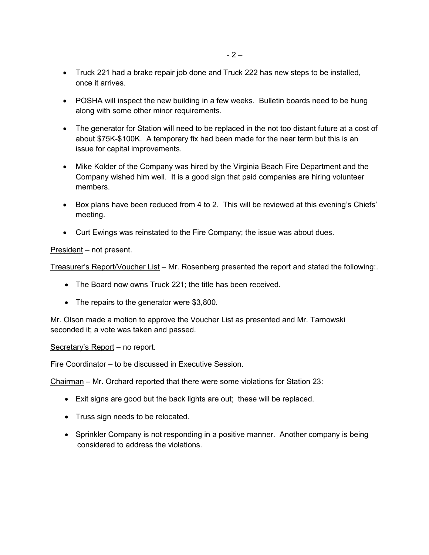- Truck 221 had a brake repair job done and Truck 222 has new steps to be installed, once it arrives.
- POSHA will inspect the new building in a few weeks. Bulletin boards need to be hung along with some other minor requirements.
- The generator for Station will need to be replaced in the not too distant future at a cost of about \$75K-\$100K. A temporary fix had been made for the near term but this is an issue for capital improvements.
- Mike Kolder of the Company was hired by the Virginia Beach Fire Department and the Company wished him well. It is a good sign that paid companies are hiring volunteer members.
- Box plans have been reduced from 4 to 2. This will be reviewed at this evening's Chiefs' meeting.
- Curt Ewings was reinstated to the Fire Company; the issue was about dues.

President – not present.

Treasurer's Report/Voucher List – Mr. Rosenberg presented the report and stated the following:.

- The Board now owns Truck 221; the title has been received.
- The repairs to the generator were \$3,800.

Mr. Olson made a motion to approve the Voucher List as presented and Mr. Tarnowski seconded it; a vote was taken and passed.

Secretary's Report – no report.

Fire Coordinator – to be discussed in Executive Session.

Chairman – Mr. Orchard reported that there were some violations for Station 23:

- Exit signs are good but the back lights are out; these will be replaced.
- Truss sign needs to be relocated.
- Sprinkler Company is not responding in a positive manner. Another company is being considered to address the violations.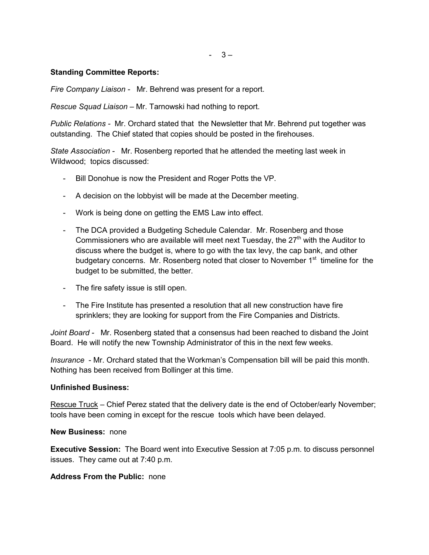$-3-$ 

# **Standing Committee Reports:**

*Fire Company Liaison -* Mr. Behrend was present for a report.

*Rescue Squad Liaison –* Mr. Tarnowski had nothing to report.

*Public Relations -* Mr. Orchard stated that the Newsletter that Mr. Behrend put together was outstanding. The Chief stated that copies should be posted in the firehouses.

*State Association -* Mr. Rosenberg reported that he attended the meeting last week in Wildwood; topics discussed:

- Bill Donohue is now the President and Roger Potts the VP.
- A decision on the lobbyist will be made at the December meeting.
- Work is being done on getting the EMS Law into effect.
- The DCA provided a Budgeting Schedule Calendar. Mr. Rosenberg and those Commissioners who are available will meet next Tuesday, the  $27<sup>th</sup>$  with the Auditor to discuss where the budget is, where to go with the tax levy, the cap bank, and other budgetary concerns. Mr. Rosenberg noted that closer to November  $1<sup>st</sup>$  timeline for the budget to be submitted, the better.
- The fire safety issue is still open.
- The Fire Institute has presented a resolution that all new construction have fire sprinklers; they are looking for support from the Fire Companies and Districts.

*Joint Board -* Mr. Rosenberg stated that a consensus had been reached to disband the Joint Board. He will notify the new Township Administrator of this in the next few weeks.

*Insurance* - Mr. Orchard stated that the Workman's Compensation bill will be paid this month. Nothing has been received from Bollinger at this time.

#### **Unfinished Business:**

Rescue Truck – Chief Perez stated that the delivery date is the end of October/early November; tools have been coming in except for the rescue tools which have been delayed.

# **New Business:** none

**Executive Session:** The Board went into Executive Session at 7:05 p.m. to discuss personnel issues. They came out at 7:40 p.m.

#### **Address From the Public:** none